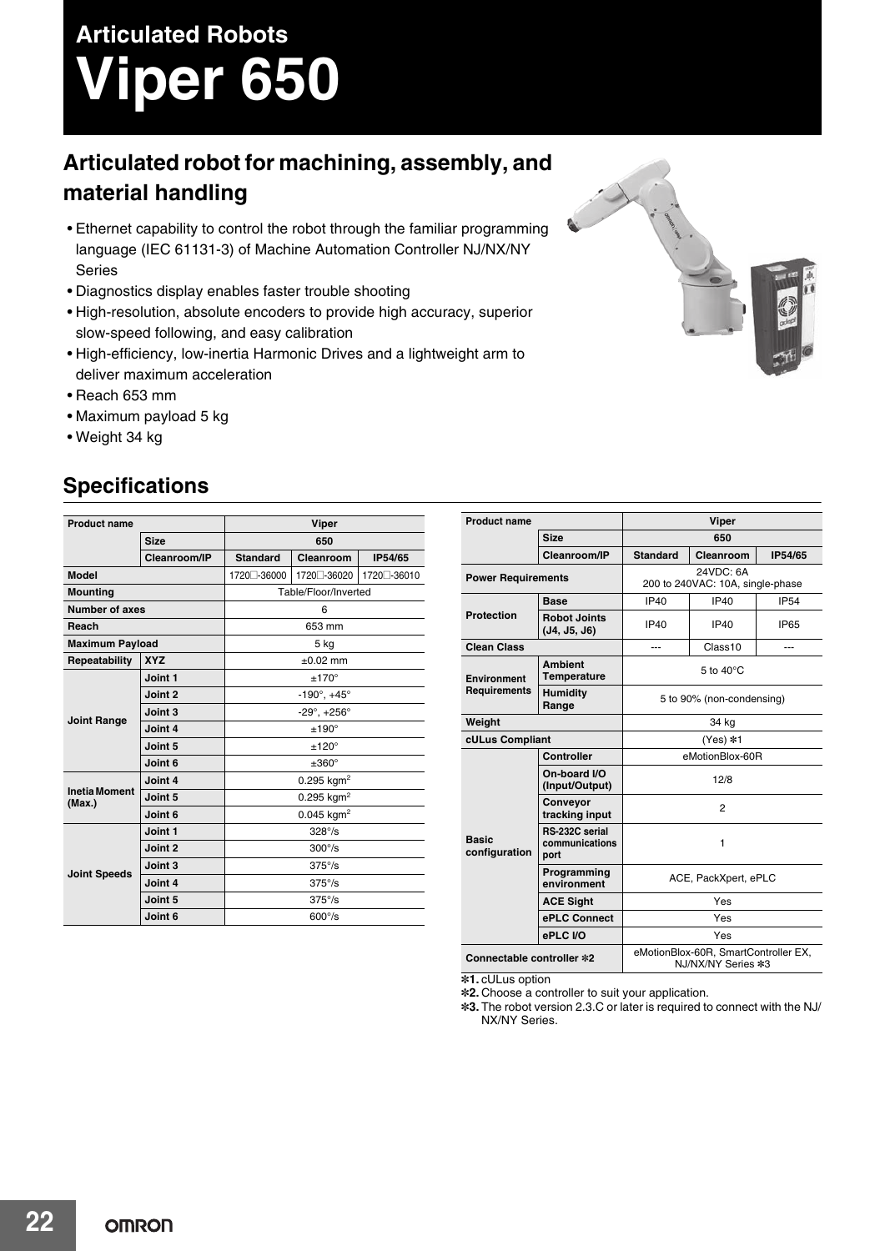# **Articulated Robots Viper 650**

## **Articulated robot for machining, assembly, and material handling**

- Ethernet capability to control the robot through the familiar programming language (IEC 61131-3) of Machine Automation Controller NJ/NX/NY Series
- Diagnostics display enables faster trouble shooting
- High-resolution, absolute encoders to provide high accuracy, superior slow-speed following, and easy calibration
- High-efficiency, low-inertia Harmonic Drives and a lightweight arm to deliver maximum acceleration
- Reach 653 mm
- Maximum payload 5 kg
- Weight 34 kg

### **Specifications**

| <b>Product name</b>            |              | Viper                          |              |              |  |  |
|--------------------------------|--------------|--------------------------------|--------------|--------------|--|--|
|                                | <b>Size</b>  |                                | 650          |              |  |  |
|                                | Cleanroom/IP | <b>Standard</b>                | Cleanroom    | IP54/65      |  |  |
| <b>Model</b>                   |              | 1720 - 36000                   | 1720 - 36020 | 1720 - 36010 |  |  |
| <b>Mounting</b>                |              | Table/Floor/Inverted           |              |              |  |  |
| <b>Number of axes</b>          |              | 6                              |              |              |  |  |
| Reach                          |              | 653 mm                         |              |              |  |  |
| <b>Maximum Payload</b>         |              | 5 kg                           |              |              |  |  |
| Repeatability                  | <b>XYZ</b>   | $\pm 0.02$ mm                  |              |              |  |  |
| <b>Joint Range</b>             | Joint 1      | $±170^{\circ}$                 |              |              |  |  |
|                                | Joint 2      | $-190^\circ$ , $+45^\circ$     |              |              |  |  |
|                                | Joint 3      | $-29^{\circ}$ , $+256^{\circ}$ |              |              |  |  |
|                                | Joint 4      | $±190^{\circ}$                 |              |              |  |  |
|                                | Joint 5      | $±120^{\circ}$                 |              |              |  |  |
|                                | Joint 6      | $\pm 360^\circ$                |              |              |  |  |
| <b>Inetia Moment</b><br>(Max.) | Joint 4      | $0.295$ kgm <sup>2</sup>       |              |              |  |  |
|                                | Joint 5      | $0.295$ kgm <sup>2</sup>       |              |              |  |  |
|                                | Joint 6      | $0.045$ kgm <sup>2</sup>       |              |              |  |  |
| <b>Joint Speeds</b>            | Joint 1      | $328^\circ$ /s                 |              |              |  |  |
|                                | Joint 2      | $300^{\circ}/s$                |              |              |  |  |
|                                | Joint 3      | $375^{\circ}/s$                |              |              |  |  |
|                                | Joint 4      | $375^{\circ}/s$                |              |              |  |  |
|                                | Joint 5      | $375^{\circ}/s$                |              |              |  |  |
|                                | Joint 6      | $600^\circ$ /s                 |              |              |  |  |

| <b>Product name</b>                       |                                          | <b>Viper</b>                                               |                     |             |  |
|-------------------------------------------|------------------------------------------|------------------------------------------------------------|---------------------|-------------|--|
| <b>Size</b>                               |                                          | 650                                                        |                     |             |  |
|                                           | Cleanroom/IP                             | <b>Standard</b>                                            | Cleanroom           | IP54/65     |  |
| <b>Power Requirements</b>                 |                                          | 24VDC: 6A<br>200 to 240VAC: 10A, single-phase              |                     |             |  |
| <b>Protection</b>                         | <b>Base</b>                              | <b>IP40</b>                                                | <b>IP40</b>         | <b>IP54</b> |  |
|                                           | <b>Robot Joints</b><br>(J4, J5, J6)      | IP40                                                       | IP40                | <b>IP65</b> |  |
| <b>Clean Class</b>                        |                                          | ---                                                        | Class <sub>10</sub> | ---         |  |
| <b>Environment</b><br><b>Requirements</b> | <b>Ambient</b><br><b>Temperature</b>     | 5 to $40^{\circ}$ C                                        |                     |             |  |
|                                           | <b>Humidity</b><br>Range                 | 5 to 90% (non-condensing)                                  |                     |             |  |
| Weight                                    |                                          | 34 kg                                                      |                     |             |  |
| cULus Compliant                           |                                          | (Yes) *1                                                   |                     |             |  |
| <b>Basic</b><br>configuration             | Controller                               | eMotionBlox-60R                                            |                     |             |  |
|                                           | On-board I/O<br>(Input/Output)           | 12/8                                                       |                     |             |  |
|                                           | Conveyor<br>tracking input               | $\overline{2}$                                             |                     |             |  |
|                                           | RS-232C serial<br>communications<br>port | 1                                                          |                     |             |  |
|                                           | Programming<br>environment               | ACE, PackXpert, ePLC                                       |                     |             |  |
|                                           | <b>ACE Sight</b>                         | Yes                                                        |                     |             |  |
|                                           | ePLC Connect                             | Yes                                                        |                     |             |  |
|                                           | ePLC I/O                                 | Yes                                                        |                     |             |  |
| Connectable controller *2                 |                                          | eMotionBlox-60R, SmartController EX,<br>NJ/NX/NY Series *3 |                     |             |  |

**\*1.** cULus option

**\*2.** Choose a controller to suit your application.

**\*3.** The robot version 2.3.C or later is required to connect with the NJ/ NX/NY Series.